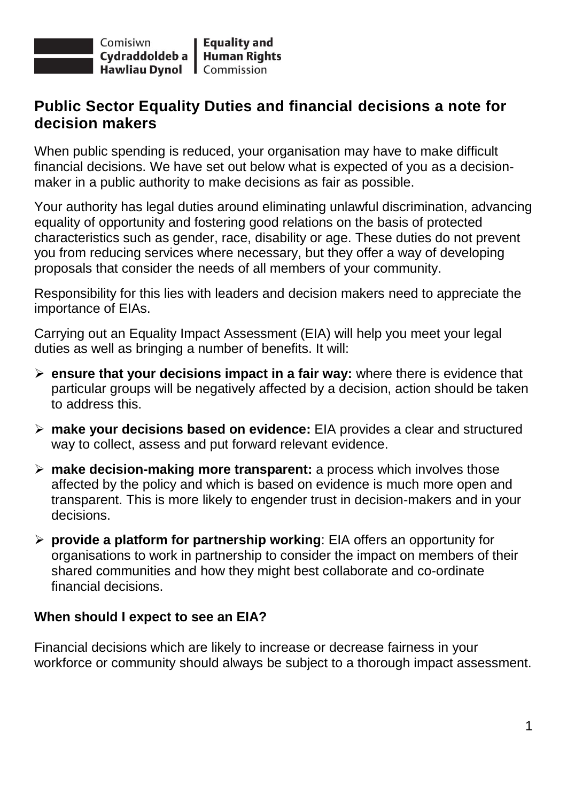

## **Public Sector Equality Duties and financial decisions a note for decision makers**

When public spending is reduced, your organisation may have to make difficult financial decisions. We have set out below what is expected of you as a decisionmaker in a public authority to make decisions as fair as possible.

Your authority has legal duties around eliminating unlawful discrimination, advancing equality of opportunity and fostering good relations on the basis of protected characteristics such as gender, race, disability or age. These duties do not prevent you from reducing services where necessary, but they offer a way of developing proposals that consider the needs of all members of your community.

Responsibility for this lies with leaders and decision makers need to appreciate the importance of EIAs.

Carrying out an Equality Impact Assessment (EIA) will help you meet your legal duties as well as bringing a number of benefits. It will:

- **ensure that your decisions impact in a fair way:** where there is evidence that particular groups will be negatively affected by a decision, action should be taken to address this.
- **make your decisions based on evidence:** EIA provides a clear and structured way to collect, assess and put forward relevant evidence.
- **make decision-making more transparent:** a process which involves those affected by the policy and which is based on evidence is much more open and transparent. This is more likely to engender trust in decision-makers and in your decisions.
- **provide a platform for partnership working**: EIA offers an opportunity for organisations to work in partnership to consider the impact on members of their shared communities and how they might best collaborate and co-ordinate financial decisions.

## **When should I expect to see an EIA?**

Financial decisions which are likely to increase or decrease fairness in your workforce or community should always be subject to a thorough impact assessment.